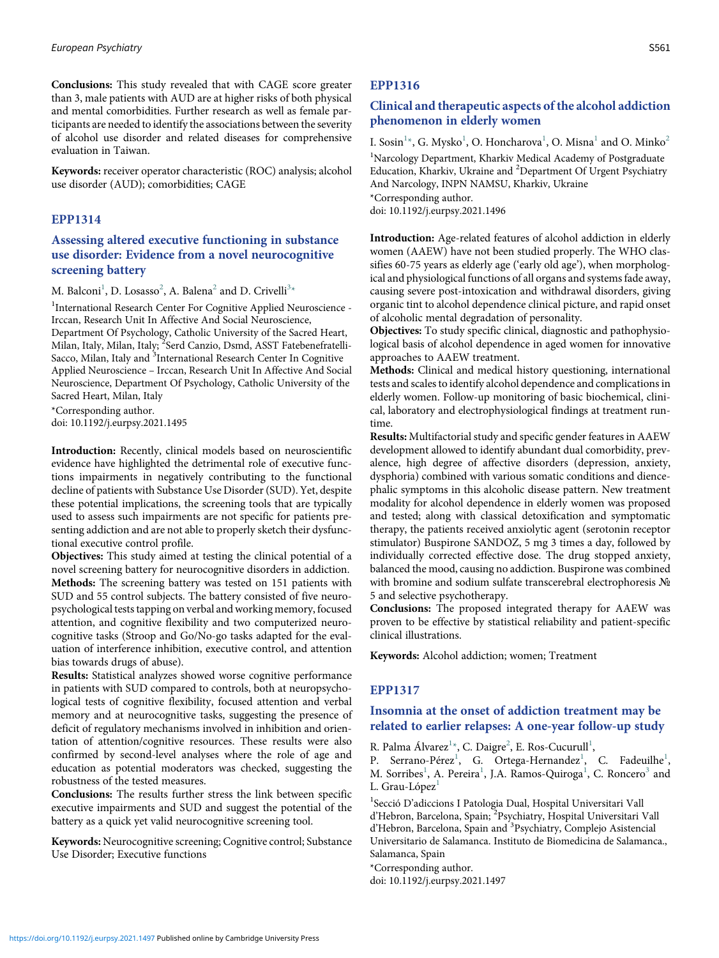Conclusions: This study revealed that with CAGE score greater than 3, male patients with AUD are at higher risks of both physical and mental comorbidities. Further research as well as female participants are needed to identify the associations between the severity of alcohol use disorder and related diseases for comprehensive evaluation in Taiwan.

Keywords: receiver operator characteristic (ROC) analysis; alcohol use disorder (AUD); comorbidities; CAGE

#### EPP1314

# Assessing altered executive functioning in substance use disorder: Evidence from a novel neurocognitive screening battery

M. Balconi $^1$ , D. Losasso $^2$ , A. Balena $^2$  and D. Crivelli $^{3\ast}$ 

<sup>1</sup>International Research Center For Cognitive Applied Neuroscience -Irccan, Research Unit In Affective And Social Neuroscience, Department Of Psychology, Catholic University of the Sacred Heart, Milan, Italy, Milan, Italy; <sup>2</sup>Serd Canzio, Dsmd, ASST Fatebenefratelli-Sacco, Milan, Italy and <sup>3</sup>International Research Center In Cognitive Applied Neuroscience – Irccan, Research Unit In Affective And Social Neuroscience, Department Of Psychology, Catholic University of the Sacred Heart, Milan, Italy

\*Corresponding author.

doi: 10.1192/j.eurpsy.2021.1495

Introduction: Recently, clinical models based on neuroscientific evidence have highlighted the detrimental role of executive functions impairments in negatively contributing to the functional decline of patients with Substance Use Disorder (SUD). Yet, despite these potential implications, the screening tools that are typically used to assess such impairments are not specific for patients presenting addiction and are not able to properly sketch their dysfunctional executive control profile.

Objectives: This study aimed at testing the clinical potential of a novel screening battery for neurocognitive disorders in addiction. Methods: The screening battery was tested on 151 patients with SUD and 55 control subjects. The battery consisted of five neuropsychological tests tapping on verbal and working memory, focused attention, and cognitive flexibility and two computerized neurocognitive tasks (Stroop and Go/No-go tasks adapted for the evaluation of interference inhibition, executive control, and attention bias towards drugs of abuse).

Results: Statistical analyzes showed worse cognitive performance in patients with SUD compared to controls, both at neuropsychological tests of cognitive flexibility, focused attention and verbal memory and at neurocognitive tasks, suggesting the presence of deficit of regulatory mechanisms involved in inhibition and orientation of attention/cognitive resources. These results were also confirmed by second-level analyses where the role of age and education as potential moderators was checked, suggesting the robustness of the tested measures.

Conclusions: The results further stress the link between specific executive impairments and SUD and suggest the potential of the battery as a quick yet valid neurocognitive screening tool.

Keywords: Neurocognitive screening; Cognitive control; Substance Use Disorder; Executive functions

#### EPP1316

## Clinical and therapeutic aspects of the alcohol addiction phenomenon in elderly women

I. Sosin<sup>1</sup>\*, G. Mysko<sup>1</sup>, O. Honcharova<sup>1</sup>, O. Misna<sup>1</sup> and O. Minko<sup>2</sup> <sup>1</sup>Narcology Department, Kharkiv Medical Academy of Postgraduate Education, Kharkiv, Ukraine and <sup>2</sup>Department Of Urgent Psychiatry And Narcology, INPN NAMSU, Kharkiv, Ukraine \*Corresponding author. doi: 10.1192/j.eurpsy.2021.1496

Introduction: Age-related features of alcohol addiction in elderly women (AAEW) have not been studied properly. The WHO classifies 60-75 years as elderly age ('early old age'), when morphological and physiological functions of all organs and systems fade away, causing severe post-intoxication and withdrawal disorders, giving organic tint to alcohol dependence clinical picture, and rapid onset of alcoholic mental degradation of personality.

Objectives: To study specific clinical, diagnostic and pathophysiological basis of alcohol dependence in aged women for innovative approaches to AAEW treatment.

Methods: Clinical and medical history questioning, international tests and scales to identify alcohol dependence and complications in elderly women. Follow-up monitoring of basic biochemical, clinical, laboratory and electrophysiological findings at treatment runtime.

Results: Multifactorial study and specific gender features in AAEW development allowed to identify abundant dual comorbidity, prevalence, high degree of affective disorders (depression, anxiety, dysphoria) combined with various somatic conditions and diencephalic symptoms in this alcoholic disease pattern. New treatment modality for alcohol dependence in elderly women was proposed and tested; along with classical detoxification and symptomatic therapy, the patients received anxiolytic agent (serotonin receptor stimulator) Buspirone SANDOZ, 5 mg 3 times a day, followed by individually corrected effective dose. The drug stopped anxiety, balanced the mood, causing no addiction. Buspirone was combined with bromine and sodium sulfate transcerebral electrophoresis No 5 and selective psychotherapy.

Conclusions: The proposed integrated therapy for AAEW was proven to be effective by statistical reliability and patient-specific clinical illustrations.

Keywords: Alcohol addiction; women; Treatment

#### EPP1317

# Insomnia at the onset of addiction treatment may be related to earlier relapses: A one-year follow-up study

R. Palma Álvarez<sup>1\*</sup>, C. Daigre<sup>2</sup>, E. Ros-Cucurull<sup>1</sup>,

P. Serrano-Pérez<sup>1</sup>, G. Ortega-Hernandez<sup>1</sup>, C. Fadeuilhe<sup>1</sup>, M. Sorribes<sup>1</sup>, A. Pereira<sup>1</sup>, J.A. Ramos-Quiroga<sup>1</sup>, C. Roncero<sup>3</sup> and L. Grau-López $<sup>1</sup>$ </sup>

<sup>1</sup> Secció D'adiccions I Patologia Dual, Hospital Universitari Vall d'Hebron, Barcelona, Spain; <sup>2</sup>Psychiatry, Hospital Universitari Vall d'Hebron, Barcelona, Spain and <sup>3</sup>Psychiatry, Complejo Asistencial Universitario de Salamanca. Instituto de Biomedicina de Salamanca., Salamanca, Spain

\*Corresponding author.

doi: 10.1192/j.eurpsy.2021.1497